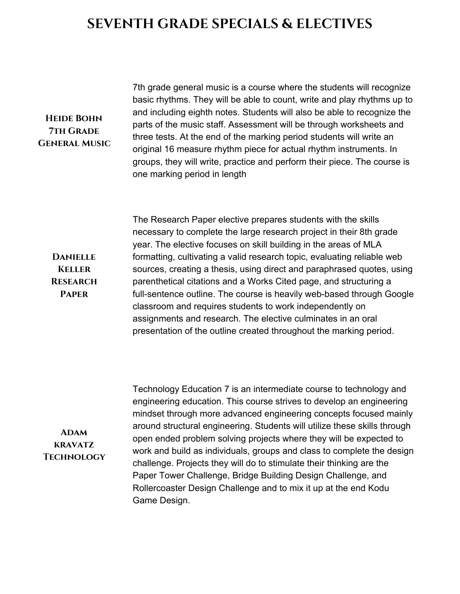## **SEVENTH GRADE SPECIALS & ELECTIVES**

### **Heide Bohn 7th Grade General Music**

**Danielle Keller Research Paper**

7th grade general music is a course where the students will recognize basic rhythms. They will be able to count, write and play rhythms up to and including eighth notes. Students will also be able to recognize the parts of the music staff. Assessment will be through worksheets and three tests. At the end of the marking period students will write an original 16 measure rhythm piece for actual rhythm instruments. In groups, they will write, practice and perform their piece. The course is one marking period in length

The Research Paper elective prepares students with the skills necessary to complete the large research project in their 8th grade year. The elective focuses on skill building in the areas of MLA formatting, cultivating a valid research topic, evaluating reliable web sources, creating a thesis, using direct and paraphrased quotes, using parenthetical citations and a Works Cited page, and structuring a full-sentence outline. The course is heavily web-based through Google classroom and requires students to work independently on assignments and research. The elective culminates in an oral presentation of the outline created throughout the marking period.

**Adam kravatz Technology** Technology Education 7 is an intermediate course to technology and engineering education. This course strives to develop an engineering mindset through more advanced engineering concepts focused mainly around structural engineering. Students will utilize these skills through open ended problem solving projects where they will be expected to work and build as individuals, groups and class to complete the design challenge. Projects they will do to stimulate their thinking are the Paper Tower Challenge, Bridge Building Design Challenge, and Rollercoaster Design Challenge and to mix it up at the end Kodu Game Design.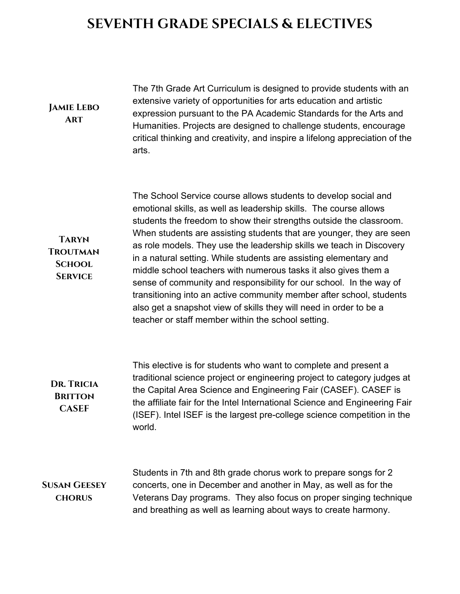## **SEVENTH GRADE SPECIALS & ELECTIVES**

#### **Jamie Lebo Art**

The 7th Grade Art Curriculum is designed to provide students with an extensive variety of opportunities for arts education and artistic expression pursuant to the PA Academic Standards for the Arts and Humanities. Projects are designed to challenge students, encourage critical thinking and creativity, and inspire a lifelong appreciation of the arts.

**Taryn Troutman School Service**

The School Service course allows students to develop social and emotional skills, as well as leadership skills. The course allows students the freedom to show their strengths outside the classroom. When students are assisting students that are younger, they are seen as role models. They use the leadership skills we teach in Discovery in a natural setting. While students are assisting elementary and middle school teachers with numerous tasks it also gives them a sense of community and responsibility for our school. In the way of transitioning into an active community member after school, students also get a snapshot view of skills they will need in order to be a teacher or staff member within the school setting.

#### **Dr. Tricia Britton CASEF** This elective is for students who want to complete and present a traditional science project or engineering project to category judges at the Capital Area Science and Engineering Fair (CASEF). CASEF is the affiliate fair for the Intel International Science and Engineering Fair (ISEF). Intel ISEF is the largest pre-college science competition in the world.

**Susan Geesey chorus**

Students in 7th and 8th grade chorus work to prepare songs for 2 concerts, one in December and another in May, as well as for the Veterans Day programs. They also focus on proper singing technique and breathing as well as learning about ways to create harmony.